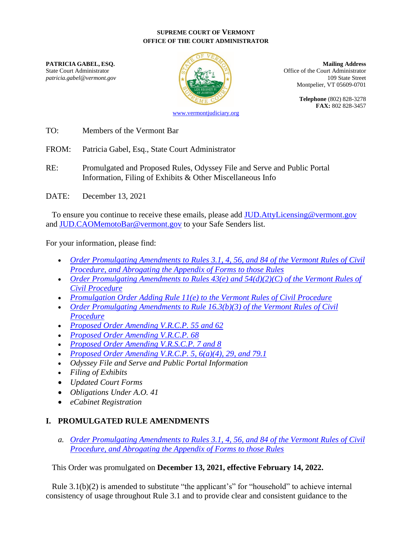#### **SUPREME COURT OF VERMONT OFFICE OF THE COURT ADMINISTRATOR**



**PATRICIA GABEL, ESQ. Mailing Address** State Court Administrator **Office of the Court Administrator** Office of the Court Administrator patricia.gabel@vermont.gov **109** State Street Montpelier, VT 05609-0701

> **Telephone** (802) 828-3278 **FAX:** 802 828-3457

TO: Members of the Vermont Bar

FROM: Patricia Gabel, Esq., State Court Administrator

RE: Promulgated and Proposed Rules, Odyssey File and Serve and Public Portal Information, Filing of Exhibits & Other Miscellaneous Info

DATE: December 13, 2021

To ensure you continue to receive these emails, please add [JUD.AttyLicensing@vermont.gov](mailto:JUD.AttyLicensing@vermont.gov) and [JUD.CAOMemotoBar@vermont.gov](mailto:JUD.CAOMemotoBar@vermont.gov) to your Safe Senders list.

For your information, please find:

- *[Order Promulgating Amendments to Rules 3.1, 4, 56, and 84 of the Vermont Rules of Civil](https://www.vermontjudiciary.org/sites/default/files/documents/PROMULGATEDVRCP3.1_4_56_84%20and%20Abrogating%20Forms--STAMPED.pdf)  [Procedure, and Abrogating the Appendix of Forms to those Rules](https://www.vermontjudiciary.org/sites/default/files/documents/PROMULGATEDVRCP3.1_4_56_84%20and%20Abrogating%20Forms--STAMPED.pdf)*
- *[Order Promulgating Amendments to Rules 43\(e\) and 54\(d\)\(2\)\(C\) of the Vermont Rules of](https://www.vermontjudiciary.org/sites/default/files/documents/PROMULGATEDVRCP43%28e%29_54%28d%29%282%29%28C%29--STAMPED.pdf)  [Civil Procedure](https://www.vermontjudiciary.org/sites/default/files/documents/PROMULGATEDVRCP43%28e%29_54%28d%29%282%29%28C%29--STAMPED.pdf)*
- *[Promulgation Order Adding Rule 11\(e\) to the Vermont Rules of Civil Procedure](https://www.vermontjudiciary.org/sites/default/files/documents/PROMULGATEDVRCP11%28e%29--STAMPED.pdf)*
- *[Order Promulgating Amendments to Rule 16.3\(b\)\(3\) of the Vermont Rules of Civil](https://www.vermontjudiciary.org/sites/default/files/documents/PROMULGATEDVRCP16.3%28b%29%283%29--STAMPED.pdf)  [Procedure](https://www.vermontjudiciary.org/sites/default/files/documents/PROMULGATEDVRCP16.3%28b%29%283%29--STAMPED.pdf)*
- *[Proposed Order Amending V.R.C.P. 55 and 62](https://www.vermontjudiciary.org/sites/default/files/documents/PROPOSEDVRCP55_62--FOR%20COMMENT.pdf)*
- *[Proposed Order Amending V.R.C.P. 68](https://www.vermontjudiciary.org/sites/default/files/documents/PROPOSEDVRCP68--FOR%20COMMENT_0.pdf)*
- *[Proposed Order Amending V.R.S.C.P. 7 and 8](https://www.vermontjudiciary.org/sites/default/files/documents/PROPOSEDVRSCP7_8--FOR%20COMMENT.pdf)*
- *[Proposed Order Amending V.R.C.P. 5, 6\(a\)\(4\), 29, and 79.1](https://www.vermontjudiciary.org/sites/default/files/documents/PROPOSEDVRCP%205_6%28a%29%284%29_29_79.1--FOR%20COMMENT.pdf)*
- *Odyssey File and Serve and Public Portal Information*
- *Filing of Exhibits*
- *Updated Court Forms*
- *Obligations Under A.O. 41*
- *eCabinet Registration*

# **I. PROMULGATED RULE AMENDMENTS**

*a. [Order Promulgating Amendments to Rules 3.1, 4, 56, and 84 of the Vermont Rules of Civil](https://www.vermontjudiciary.org/sites/default/files/documents/PROMULGATEDVRCP3.1_4_56_84%20and%20Abrogating%20Forms--STAMPED.pdf)  [Procedure, and Abrogating the Appendix of Forms to those Rules](https://www.vermontjudiciary.org/sites/default/files/documents/PROMULGATEDVRCP3.1_4_56_84%20and%20Abrogating%20Forms--STAMPED.pdf)*

This Order was promulgated on **December 13, 2021, effective February 14, 2022.**

Rule 3.1(b)(2) is amended to substitute "the applicant's" for "household" to achieve internal consistency of usage throughout Rule 3.1 and to provide clear and consistent guidance to the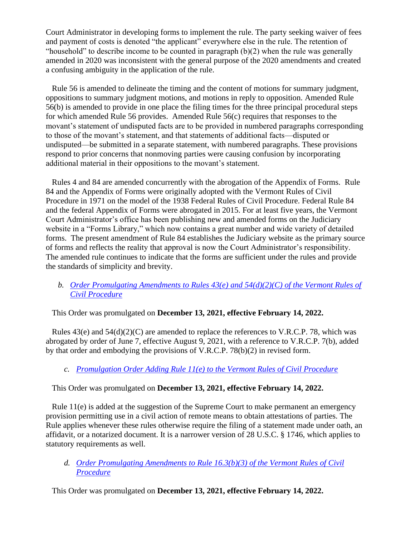Court Administrator in developing forms to implement the rule. The party seeking waiver of fees and payment of costs is denoted "the applicant" everywhere else in the rule. The retention of "household" to describe income to be counted in paragraph  $(b)(2)$  when the rule was generally amended in 2020 was inconsistent with the general purpose of the 2020 amendments and created a confusing ambiguity in the application of the rule.

Rule 56 is amended to delineate the timing and the content of motions for summary judgment, oppositions to summary judgment motions, and motions in reply to opposition. Amended Rule 56(b) is amended to provide in one place the filing times for the three principal procedural steps for which amended Rule 56 provides. Amended Rule 56(c) requires that responses to the movant's statement of undisputed facts are to be provided in numbered paragraphs corresponding to those of the movant's statement, and that statements of additional facts—disputed or undisputed—be submitted in a separate statement, with numbered paragraphs. These provisions respond to prior concerns that nonmoving parties were causing confusion by incorporating additional material in their oppositions to the movant's statement.

Rules 4 and 84 are amended concurrently with the abrogation of the Appendix of Forms. Rule 84 and the Appendix of Forms were originally adopted with the Vermont Rules of Civil Procedure in 1971 on the model of the 1938 Federal Rules of Civil Procedure. Federal Rule 84 and the federal Appendix of Forms were abrogated in 2015. For at least five years, the Vermont Court Administrator's office has been publishing new and amended forms on the Judiciary website in a "Forms Library," which now contains a great number and wide variety of detailed forms. The present amendment of Rule 84 establishes the Judiciary website as the primary source of forms and reflects the reality that approval is now the Court Administrator's responsibility. The amended rule continues to indicate that the forms are sufficient under the rules and provide the standards of simplicity and brevity.

### *b. [Order Promulgating Amendments to Rules 43\(e\) and 54\(d\)\(2\)\(C\) of the Vermont Rules of](https://www.vermontjudiciary.org/sites/default/files/documents/PROMULGATEDVRCP43%28e%29_54%28d%29%282%29%28C%29--STAMPED.pdf)  [Civil Procedure](https://www.vermontjudiciary.org/sites/default/files/documents/PROMULGATEDVRCP43%28e%29_54%28d%29%282%29%28C%29--STAMPED.pdf)*

This Order was promulgated on **December 13, 2021, effective February 14, 2022.**

Rules 43(e) and 54(d)(2)(C) are amended to replace the references to V.R.C.P. 78, which was abrogated by order of June 7, effective August 9, 2021, with a reference to V.R.C.P. 7(b), added by that order and embodying the provisions of V.R.C.P. 78(b)(2) in revised form.

# *c. [Promulgation Order Adding Rule 11\(e\) to the Vermont Rules of Civil Procedure](https://www.vermontjudiciary.org/sites/default/files/documents/PROMULGATEDVRCP11%28e%29--STAMPED.pdf)*

This Order was promulgated on **December 13, 2021, effective February 14, 2022.**

Rule 11(e) is added at the suggestion of the Supreme Court to make permanent an emergency provision permitting use in a civil action of remote means to obtain attestations of parties. The Rule applies whenever these rules otherwise require the filing of a statement made under oath, an affidavit, or a notarized document. It is a narrower version of 28 U.S.C. § 1746, which applies to statutory requirements as well.

*d. [Order Promulgating Amendments to Rule 16.3\(b\)\(3\) of the Vermont Rules of Civil](https://www.vermontjudiciary.org/sites/default/files/documents/PROMULGATEDVRCP16.3%28b%29%283%29--STAMPED.pdf)  [Procedure](https://www.vermontjudiciary.org/sites/default/files/documents/PROMULGATEDVRCP16.3%28b%29%283%29--STAMPED.pdf)*

This Order was promulgated on **December 13, 2021, effective February 14, 2022.**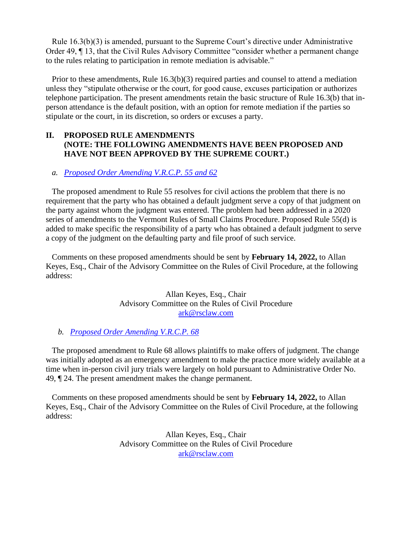Rule 16.3(b)(3) is amended, pursuant to the Supreme Court's directive under Administrative Order 49, ¶ 13, that the Civil Rules Advisory Committee "consider whether a permanent change to the rules relating to participation in remote mediation is advisable."

Prior to these amendments, Rule 16.3(b)(3) required parties and counsel to attend a mediation unless they "stipulate otherwise or the court, for good cause, excuses participation or authorizes telephone participation. The present amendments retain the basic structure of Rule 16.3(b) that inperson attendance is the default position, with an option for remote mediation if the parties so stipulate or the court, in its discretion, so orders or excuses a party.

### **II. PROPOSED RULE AMENDMENTS (NOTE: THE FOLLOWING AMENDMENTS HAVE BEEN PROPOSED AND HAVE NOT BEEN APPROVED BY THE SUPREME COURT.)**

### *a. [Proposed Order Amending V.R.C.P. 55 and 62](https://www.vermontjudiciary.org/sites/default/files/documents/PROPOSEDVRCP55_62--FOR%20COMMENT.pdf)*

The proposed amendment to Rule 55 resolves for civil actions the problem that there is no requirement that the party who has obtained a default judgment serve a copy of that judgment on the party against whom the judgment was entered. The problem had been addressed in a 2020 series of amendments to the Vermont Rules of Small Claims Procedure. Proposed Rule 55(d) is added to make specific the responsibility of a party who has obtained a default judgment to serve a copy of the judgment on the defaulting party and file proof of such service.

Comments on these proposed amendments should be sent by **February 14, 2022,** to Allan Keyes, Esq., Chair of the Advisory Committee on the Rules of Civil Procedure, at the following address:

> Allan Keyes, Esq., Chair Advisory Committee on the Rules of Civil Procedure [ark@rsclaw.com](mailto:ark@rsclaw.com)

### *b. [Proposed Order Amending V.R.C.P. 68](https://www.vermontjudiciary.org/sites/default/files/documents/PROPOSEDVRCP68--FOR%20COMMENT_0.pdf)*

The proposed amendment to Rule 68 allows plaintiffs to make offers of judgment. The change was initially adopted as an emergency amendment to make the practice more widely available at a time when in-person civil jury trials were largely on hold pursuant to Administrative Order No. 49, ¶ 24. The present amendment makes the change permanent.

Comments on these proposed amendments should be sent by **February 14, 2022,** to Allan Keyes, Esq., Chair of the Advisory Committee on the Rules of Civil Procedure, at the following address:

> Allan Keyes, Esq., Chair Advisory Committee on the Rules of Civil Procedure [ark@rsclaw.com](mailto:ark@rsclaw.com)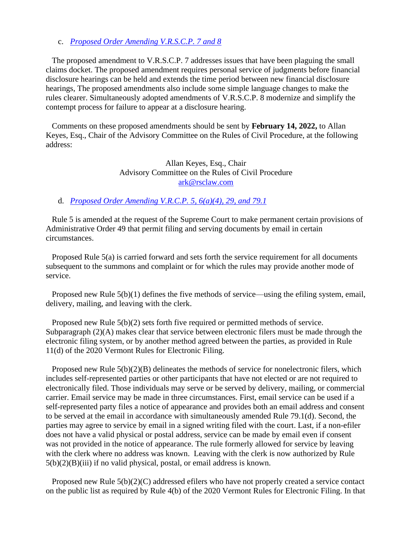#### c. *[Proposed Order Amending V.R.S.C.P. 7 and 8](https://www.vermontjudiciary.org/sites/default/files/documents/PROPOSEDVRSCP7_8--FOR%20COMMENT.pdf)*

The proposed amendment to V.R.S.C.P. 7 addresses issues that have been plaguing the small claims docket. The proposed amendment requires personal service of judgments before financial disclosure hearings can be held and extends the time period between new financial disclosure hearings, The proposed amendments also include some simple language changes to make the rules clearer. Simultaneously adopted amendments of V.R.S.C.P. 8 modernize and simplify the contempt process for failure to appear at a disclosure hearing.

Comments on these proposed amendments should be sent by **February 14, 2022,** to Allan Keyes, Esq., Chair of the Advisory Committee on the Rules of Civil Procedure, at the following address:

### Allan Keyes, Esq., Chair Advisory Committee on the Rules of Civil Procedure [ark@rsclaw.com](mailto:ark@rsclaw.com)

#### d. *[Proposed Order Amending V.R.C.P. 5, 6\(a\)\(4\), 29, and 79.1](https://www.vermontjudiciary.org/sites/default/files/documents/PROPOSEDVRCP%205_6%28a%29%284%29_29_79.1--FOR%20COMMENT.pdf)*

Rule 5 is amended at the request of the Supreme Court to make permanent certain provisions of Administrative Order 49 that permit filing and serving documents by email in certain circumstances.

Proposed Rule 5(a) is carried forward and sets forth the service requirement for all documents subsequent to the summons and complaint or for which the rules may provide another mode of service.

Proposed new Rule 5(b)(1) defines the five methods of service—using the efiling system, email, delivery, mailing, and leaving with the clerk.

Proposed new Rule 5(b)(2) sets forth five required or permitted methods of service. Subparagraph (2)(A) makes clear that service between electronic filers must be made through the electronic filing system, or by another method agreed between the parties, as provided in Rule 11(d) of the 2020 Vermont Rules for Electronic Filing.

Proposed new Rule 5(b)(2)(B) delineates the methods of service for nonelectronic filers, which includes self-represented parties or other participants that have not elected or are not required to electronically filed. Those individuals may serve or be served by delivery, mailing, or commercial carrier. Email service may be made in three circumstances. First, email service can be used if a self-represented party files a notice of appearance and provides both an email address and consent to be served at the email in accordance with simultaneously amended Rule 79.1(d). Second, the parties may agree to service by email in a signed writing filed with the court. Last, if a non-efiler does not have a valid physical or postal address, service can be made by email even if consent was not provided in the notice of appearance. The rule formerly allowed for service by leaving with the clerk where no address was known. Leaving with the clerk is now authorized by Rule  $5(b)(2)(B)(iii)$  if no valid physical, postal, or email address is known.

Proposed new Rule 5(b)(2)(C) addressed efilers who have not properly created a service contact on the public list as required by Rule 4(b) of the 2020 Vermont Rules for Electronic Filing. In that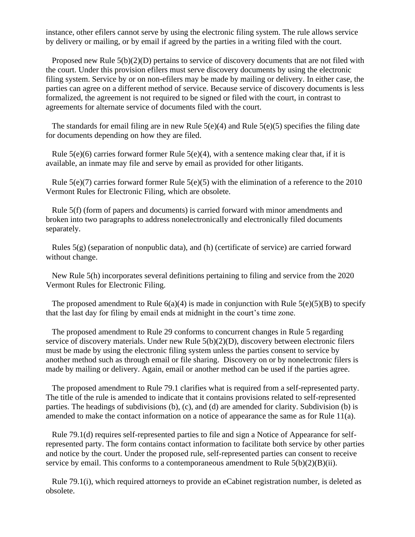instance, other efilers cannot serve by using the electronic filing system. The rule allows service by delivery or mailing, or by email if agreed by the parties in a writing filed with the court.

Proposed new Rule 5(b)(2)(D) pertains to service of discovery documents that are not filed with the court. Under this provision efilers must serve discovery documents by using the electronic filing system. Service by or on non-efilers may be made by mailing or delivery. In either case, the parties can agree on a different method of service. Because service of discovery documents is less formalized, the agreement is not required to be signed or filed with the court, in contrast to agreements for alternate service of documents filed with the court.

The standards for email filing are in new Rule 5(e)(4) and Rule 5(e)(5) specifies the filing date for documents depending on how they are filed.

Rule  $5(e)(6)$  carries forward former Rule  $5(e)(4)$ , with a sentence making clear that, if it is available, an inmate may file and serve by email as provided for other litigants.

Rule 5(e)(7) carries forward former Rule 5(e)(5) with the elimination of a reference to the 2010 Vermont Rules for Electronic Filing, which are obsolete.

Rule 5(f) (form of papers and documents) is carried forward with minor amendments and broken into two paragraphs to address nonelectronically and electronically filed documents separately.

Rules  $5(g)$  (separation of nonpublic data), and (h) (certificate of service) are carried forward without change.

New Rule 5(h) incorporates several definitions pertaining to filing and service from the 2020 Vermont Rules for Electronic Filing.

The proposed amendment to Rule  $6(a)(4)$  is made in conjunction with Rule  $5(e)(5)(B)$  to specify that the last day for filing by email ends at midnight in the court's time zone.

The proposed amendment to Rule 29 conforms to concurrent changes in Rule 5 regarding service of discovery materials. Under new Rule 5(b)(2)(D), discovery between electronic filers must be made by using the electronic filing system unless the parties consent to service by another method such as through email or file sharing. Discovery on or by nonelectronic filers is made by mailing or delivery. Again, email or another method can be used if the parties agree.

The proposed amendment to Rule 79.1 clarifies what is required from a self-represented party. The title of the rule is amended to indicate that it contains provisions related to self-represented parties. The headings of subdivisions (b), (c), and (d) are amended for clarity. Subdivision (b) is amended to make the contact information on a notice of appearance the same as for Rule 11(a).

Rule 79.1(d) requires self-represented parties to file and sign a Notice of Appearance for selfrepresented party. The form contains contact information to facilitate both service by other parties and notice by the court. Under the proposed rule, self-represented parties can consent to receive service by email. This conforms to a contemporaneous amendment to Rule  $5(b)(2)(B)(ii)$ .

Rule 79.1(i), which required attorneys to provide an eCabinet registration number, is deleted as obsolete.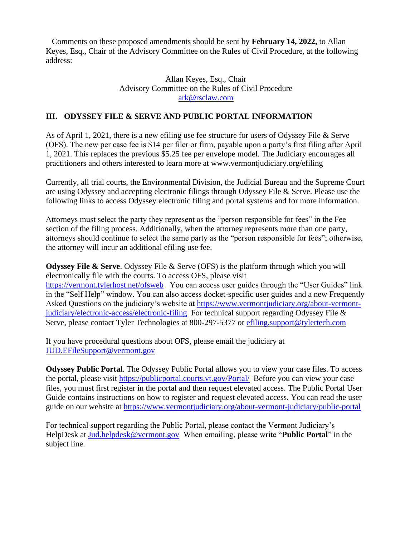Comments on these proposed amendments should be sent by **February 14, 2022,** to Allan Keyes, Esq., Chair of the Advisory Committee on the Rules of Civil Procedure, at the following address:

### Allan Keyes, Esq., Chair Advisory Committee on the Rules of Civil Procedure [ark@rsclaw.com](mailto:ark@rsclaw.com)

## **III. ODYSSEY FILE & SERVE AND PUBLIC PORTAL INFORMATION**

As of April 1, 2021, there is a new efiling use fee structure for users of Odyssey File & Serve (OFS). The new per case fee is \$14 per filer or firm, payable upon a party's first filing after April 1, 2021. This replaces the previous \$5.25 fee per envelope model. The Judiciary encourages all practitioners and others interested to learn more at [www.vermontjudiciary.org/efiling](https://www.vermontjudiciary.org/efiling)

Currently, all trial courts, the Environmental Division, the Judicial Bureau and the Supreme Court are using Odyssey and accepting electronic filings through Odyssey File & Serve. Please use the following links to access Odyssey electronic filing and portal systems and for more information.

Attorneys must select the party they represent as the "person responsible for fees" in the Fee section of the filing process. Additionally, when the attorney represents more than one party, attorneys should continue to select the same party as the "person responsible for fees"; otherwise, the attorney will incur an additional efiling use fee.

**Odyssey File & Serve.** Odyssey File & Serve (OFS) is the platform through which you will electronically file with the courts. To access OFS, please visit <https://vermont.tylerhost.net/ofsweb>You can access user guides through the "User Guides" link in the "Self Help" window. You can also access docket-specific user guides and a new Frequently Asked Questions on the judiciary's website at [https://www.vermontjudiciary.org/about-vermont](https://www.vermontjudiciary.org/about-vermont-judiciary/electronic-access/electronic-filing)[judiciary/electronic-access/electronic-filing](https://www.vermontjudiciary.org/about-vermont-judiciary/electronic-access/electronic-filing) For technical support regarding Odyssey File & Serve, please contact Tyler Technologies at 800-297-5377 or [efiling.support@tylertech.com](mailto:efiling.support@tylertech.com)

If you have procedural questions about OFS, please email the judiciary at [JUD.EFileSupport@vermont.gov](mailto:JUD.EFileSupport@vermont.gov)

**Odyssey Public Portal**. The Odyssey Public Portal allows you to view your case files. To access the portal, please visit<https://publicportal.courts.vt.gov/Portal/> Before you can view your case files, you must first register in the portal and then request elevated access. The Public Portal User Guide contains instructions on how to register and request elevated access. You can read the user guide on our website at<https://www.vermontjudiciary.org/about-vermont-judiciary/public-portal>

For technical support regarding the Public Portal, please contact the Vermont Judiciary's HelpDesk at [Jud.helpdesk@vermont.gov](mailto:Jud.helpdesk@vermont.gov) When emailing, please write "**Public Portal**" in the subject line.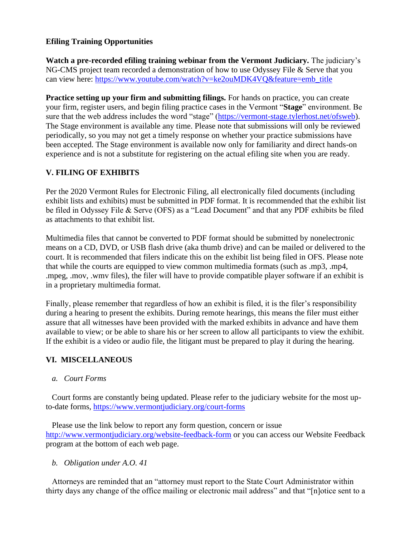## **Efiling Training Opportunities**

**Watch a pre-recorded efiling training webinar from the Vermont Judiciary.** The judiciary's NG-CMS project team recorded a demonstration of how to use Odyssey File & Serve that you can view here: [https://www.youtube.com/watch?v=ke2ouMDK4VQ&feature=emb\\_title](https://www.youtube.com/watch?v=ke2ouMDK4VQ&feature=emb_title)

**Practice setting up your firm and submitting filings.** For hands on practice, you can create your firm, register users, and begin filing practice cases in the Vermont "**Stage**" environment. Be sure that the web address includes the word "stage" [\(https://vermont-stage.tylerhost.net/ofsweb\)](https://vermont-stage.tylerhost.net/ofsweb). The Stage environment is available any time. Please note that submissions will only be reviewed periodically, so you may not get a timely response on whether your practice submissions have been accepted. The Stage environment is available now only for familiarity and direct hands-on experience and is not a substitute for registering on the actual efiling site when you are ready.

## **V. FILING OF EXHIBITS**

Per the 2020 Vermont Rules for Electronic Filing, all electronically filed documents (including exhibit lists and exhibits) must be submitted in PDF format. It is recommended that the exhibit list be filed in Odyssey File & Serve (OFS) as a "Lead Document" and that any PDF exhibits be filed as attachments to that exhibit list.

Multimedia files that cannot be converted to PDF format should be submitted by nonelectronic means on a CD, DVD, or USB flash drive (aka thumb drive) and can be mailed or delivered to the court. It is recommended that filers indicate this on the exhibit list being filed in OFS. Please note that while the courts are equipped to view common multimedia formats (such as .mp3, .mp4, .mpeg, .mov, .wmv files), the filer will have to provide compatible player software if an exhibit is in a proprietary multimedia format.

Finally, please remember that regardless of how an exhibit is filed, it is the filer's responsibility during a hearing to present the exhibits. During remote hearings, this means the filer must either assure that all witnesses have been provided with the marked exhibits in advance and have them available to view; or be able to share his or her screen to allow all participants to view the exhibit. If the exhibit is a video or audio file, the litigant must be prepared to play it during the hearing.

# **VI. MISCELLANEOUS**

### *a. Court Forms*

Court forms are constantly being updated. Please refer to the judiciary website for the most upto-date forms,<https://www.vermontjudiciary.org/court-forms>

Please use the link below to report any form question, concern or issue <http://www.vermontjudiciary.org/website-feedback-form> or you can access our Website Feedback program at the bottom of each web page.

*b. Obligation under A.O. 41*

Attorneys are reminded that an "attorney must report to the State Court Administrator within thirty days any change of the office mailing or electronic mail address" and that "[n]otice sent to a